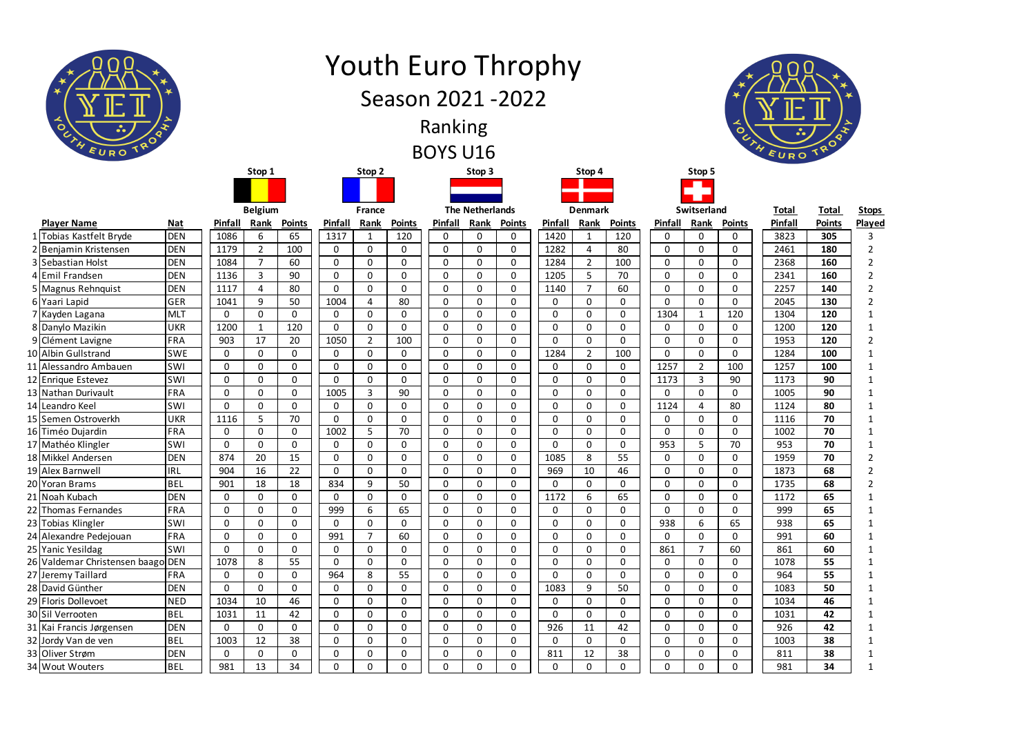| ≺<br>$\circ$<br>$\bullet$<br>EUROTR      |                          |                            |                  |                            |                  |                   | <b>Youth Euro Throphy</b><br>Season 2021 - 2022 | Ranking<br><b>BOYS U16</b> |                            |                            |                     |                     |               |             |                     | $\mathbf{\circ}$     | EURO         |               |                |
|------------------------------------------|--------------------------|----------------------------|------------------|----------------------------|------------------|-------------------|-------------------------------------------------|----------------------------|----------------------------|----------------------------|---------------------|---------------------|---------------|-------------|---------------------|----------------------|--------------|---------------|----------------|
|                                          |                          |                            | Stop 1           |                            |                  | Stop 2            |                                                 |                            | Stop 3                     |                            |                     | Stop 4              |               |             | Stop 5              |                      |              |               |                |
|                                          |                          |                            |                  |                            |                  |                   |                                                 |                            |                            |                            |                     |                     |               |             |                     |                      |              |               |                |
|                                          |                          |                            | <b>Belgium</b>   |                            |                  | <b>France</b>     |                                                 |                            | <b>The Netherlands</b>     |                            |                     | <b>Denmark</b>      |               |             | Switserland         |                      | <b>Total</b> | <b>Total</b>  | <b>Stops</b>   |
| <b>Player Name</b>                       | <b>Nat</b>               | Pinfall                    | Rank             | <b>Points</b>              | Pinfall          | Rank              | <b>Points</b>                                   | Pinfall                    | Rank                       | <b>Points</b>              | Pinfall             | Rank                | <b>Points</b> | Pinfall     | Rank                | <b>Points</b>        | Pinfall      | <b>Points</b> | Played         |
| Tobias Kastfelt Bryde                    | <b>DEN</b>               | 1086                       | 6                | 65                         | 1317             |                   | 120                                             | $\mathbf 0$                | 0                          | 0                          | 1420                |                     | 120           | 0           | 0                   | 0                    | 3823         | 305           | 3              |
| 2 Benjamin Kristensen                    | <b>DEN</b>               | 1179                       | $\overline{2}$   | 100                        | $\mathbf 0$      | 0                 | 0                                               | $\mathbf 0$                | $\mathbf 0$                | $\mathbf 0$                | 1282                | 4                   | 80            | 0           | 0                   | $\Omega$             | 2461         | 180           | $\overline{2}$ |
| 3 Sebastian Holst                        | <b>DEN</b>               | 1084                       | $\overline{7}$   | 60                         | $\mathbf 0$      | $\mathbf{0}$      | 0                                               | $\mathbf 0$                | $\mathbf 0$                | $\mathbf 0$                | 1284                | $\overline{2}$      | 100           | 0           | 0                   | $\Omega$             | 2368         | 160           | $\overline{2}$ |
| 4 Emil Frandsen                          | <b>DEN</b>               | 1136                       | 3                | 90                         | $\mathbf 0$      | 0                 | 0                                               | $\mathbf 0$                | $\mathbf 0$                | $\mathbf 0$                | 1205                | 5                   | 70            | 0           | $\mathbf 0$         | $\Omega$             | 2341         | 160           | $\overline{2}$ |
| 5   Magnus Rehnquist                     | <b>DEN</b>               | 1117                       | 4                | 80                         | $\Omega$         | $\mathbf{0}$      | 0                                               | $\mathbf 0$                | 0                          | $\mathbf 0$                | 1140                | $\overline{7}$      | 60            | 0           | 0                   | $\Omega$             | 2257         | 140           |                |
| 6 Yaari Lapid                            | GER                      | 1041                       | 9                | 50                         | 1004             | 4                 | 80                                              | $\mathbf 0$                | $\mathbf 0$                | $\mathbf 0$                | $\mathbf 0$         | 0                   | $\mathbf 0$   | 0           | $\mathbf 0$         | $\Omega$             | 2045         | 130           | $\overline{2}$ |
| 7 Kayden Lagana                          | <b>MLT</b>               | $\mathbf 0$                | $\mathbf 0$      | $\mathbf 0$                | $\mathbf 0$      | $\mathbf{0}$      | 0                                               | $\mathbf 0$                | $\mathbf 0$                | $\mathbf 0$                | $\mathbf 0$         | 0                   | $\mathbf 0$   | 1304        | -1                  | 120                  | 1304         | 120           |                |
| 8 Danylo Mazikin                         | <b>UKR</b>               | 1200                       | $\mathbf{1}$     | 120                        | $\mathbf 0$      | 0                 | 0                                               | $\mathbf 0$                | 0                          | 0                          | $\mathbf 0$         | 0                   | $\mathbf 0$   | 0           | $\mathbf 0$         | 0                    | 1200         | 120           |                |
| 9 Clément Lavigne<br>10 Albin Gullstrand | <b>FRA</b>               | 903                        | 17               | 20                         | 1050             | $\overline{2}$    | 100                                             | $\mathbf 0$                | 0                          | $\mathbf 0$                | 0                   | 0                   | 0<br>100      | 0           | 0                   | $\Omega$<br>$\Omega$ | 1953<br>1284 | 120           | 2              |
| 11 Alessandro Ambauen                    | <b>SWE</b><br><b>SWI</b> | $\mathbf 0$<br>$\mathbf 0$ | $\mathbf 0$<br>0 | $\mathbf 0$<br>$\mathbf 0$ | 0<br>$\mathbf 0$ | 0<br>$\mathbf{0}$ | 0<br>0                                          | $\mathbf 0$<br>$\mathbf 0$ | $\mathbf 0$<br>$\mathbf 0$ | $\mathbf 0$<br>$\mathbf 0$ | 1284<br>$\mathbf 0$ | $\overline{2}$<br>0 | $\mathbf 0$   | 0<br>1257   | 0<br>$\overline{2}$ | 100                  | 1257         | 100<br>100    |                |
| 12 Enrique Estevez                       | <b>SWI</b>               | $\mathbf{0}$               | 0                | $\mathbf 0$                | $\mathbf 0$      | 0                 | 0                                               | $\mathbf 0$                | 0                          | 0                          | 0                   | 0                   | 0             | 1173        | $\overline{3}$      | 90                   | 1173         | 90            |                |
| 13 Nathan Durivault                      | FRA                      | $\mathbf 0$                | $\mathbf 0$      | $\mathbf 0$                | 1005             | 3                 | 90                                              | $\mathbf 0$                | 0                          | $\mathbf 0$                | 0                   | 0                   | 0             | 0           | $\mathbf 0$         | $\Omega$             | 1005         | 90            |                |
| 14 Leandro Keel                          | SWI                      | 0                          | 0                | $\mathbf 0$                | $\mathbf 0$      | $\mathbf 0$       | 0                                               | $\mathbf 0$                | $\mathbf 0$                | 0                          | 0                   | 0                   | $\mathbf 0$   | 1124        | 4                   | 80                   | 1124         | 80            |                |
| 15 Semen Ostroverkh                      | <b>UKR</b>               | 1116                       | 5                | 70                         | 0                | 0                 | 0                                               | $\mathbf 0$                | $\mathbf 0$                | 0                          | 0                   | 0                   | 0             | 0           | 0                   | $\Omega$             | 1116         | 70            |                |
| 16 Timéo Dujardin                        | FRA                      | $\pmb{0}$                  | 0                | $\pmb{0}$                  | 1002             | п                 | $70\,$                                          | $\pmb{0}$                  | $\Omega$<br>U.             | $\pmb{0}$                  | 0                   | 0                   | $\pmb{0}$     | $\pmb{0}$   | 0                   | $\pmb{0}$            | 1002         | 70            |                |
| 17 Mathéo Klingler                       | <b>SWI</b>               | 0                          | $\mathbf{0}$     | $\mathbf 0$                | $\mathbf 0$      | 0                 | 0                                               | $\mathbf 0$                | $\mathbf 0$                | $\mathbf 0$                | 0                   | 0                   | $\mathbf{0}$  | 953         | 5                   | 70                   | 953          | 70            |                |
| 18 Mikkel Andersen                       | <b>DEN</b>               | 874                        | 20               | 15                         | $\mathbf 0$      | $\mathbf 0$       | $\mathbf 0$                                     | $\mathbf 0$                | $\mathbf 0$                | $\mathbf 0$                | 1085                | 8                   | 55            | 0           | $\mathbf 0$         | $\mathbf 0$          | 1959         | 70            | $\overline{2}$ |
| 19 Alex Barnwell                         | <b>IRL</b>               | 904                        | 16               | 22                         | $\mathbf 0$      | 0                 | 0                                               | $\mathbf 0$                | $\mathbf 0$                | $\mathbf 0$                | 969                 | 10                  | 46            | 0           | 0                   | 0                    | 1873         | 68            |                |
| 20 Yoran Brams                           | <b>BEL</b>               | 901                        | 18               | 18                         | 834              | 9                 | 50                                              | $\mathbf 0$                | $\mathbf 0$                | 0                          | $\mathbf{0}$        | $\overline{0}$      | $\mathbf 0$   | $\mathbf 0$ | 0                   | 0                    | 1735         | 68            | $\overline{2}$ |
| 21 Noah Kubach                           | <b>DEN</b>               | $\mathbf 0$                | $\mathbf 0$      | $\mathbf 0$                | $\Omega$         | $\mathbf 0$       | $\mathbf 0$                                     | $\mathbf 0$                | $\mathbf 0$                | $\mathbf 0$                | 1172                | 6                   | 65            | 0           | 0                   | 0                    | 1172         | 65            |                |
| 22 Thomas Fernandes                      | FRA                      | $\mathbf 0$                | $\mathbf 0$      | $\mathbf 0$                | 999              | 6                 | 65                                              | $\mathbf 0$                | $\mathbf 0$                | 0                          | $\mathbf 0$         | 0                   | $\mathbf 0$   | $\mathbf 0$ | 0                   | 0                    | 999          | 65            |                |
| 23 Tobias Klingler                       | SWI                      | $\mathbf 0$                | $\mathbf 0$      | $\mathbf 0$                | $\mathbf{0}$     | $\mathbf 0$       | $\mathbf 0$                                     | $\mathbf 0$                | $\mathbf 0$                | $\mathbf 0$                | 0                   | 0                   | $\mathbf 0$   | 938         | 6                   | 65                   | 938          | 65            |                |
| 24 Alexandre Pedejouan                   | FRA                      | $\overline{0}$             | $\mathbf 0$      | $\mathbf 0$                | 991              | 7                 | 60                                              | $\mathbf 0$                | $\mathbf 0$                | 0                          | 0                   | $\mathbf{0}$        | $\mathbf 0$   | 0           | 0                   | 0                    | 991          | 60            |                |
| 25 Yanic Yesildag                        | SWI                      | $\mathbf 0$                | $\mathbf 0$      | $\mathbf 0$                | 0                | $\mathbf 0$       | 0                                               | $\mathbf 0$                | $\mathbf 0$                | $\mathbf 0$                | 0                   | 0                   | 0             | 861         | 7                   | 60                   | 861          | 60            |                |
| 26 Valdemar Christensen baago DEN        |                          | 1078                       | 8                | 55                         | $\mathbf 0$      | $\mathbf 0$       | 0                                               | $\mathbf 0$                | $\mathbf 0$                | $\mathbf 0$                | 0                   | $\overline{0}$      | $\mathbf 0$   | $\mathbf 0$ | $\mathbf 0$         | $\mathbf 0$          | 1078         | 55            |                |
| 27 Jeremy Taillard                       | FRA                      | 0                          | $\mathbf 0$      | $\mathbf 0$                | 964              | 8                 | 55                                              | $\mathbf 0$                | $\mathbf 0$                | $\mathbf 0$                | 0                   | 0                   | $\mathbf 0$   | 0           | 0                   | 0                    | 964          | 55            |                |
| 28 David Günther                         | <b>DEN</b>               | $\overline{0}$             | $\mathbf{0}$     | $\mathbf 0$                | 0                | $\mathbf 0$       | 0                                               | $\mathbf 0$                | $\mathbf 0$                | $\mathbf 0$                | 1083                | 9                   | 50            | 0           | 0                   | 0                    | 1083         | 50            |                |
| 29 Floris Dollevoet                      | <b>NED</b>               | 1034                       | 10               | 46                         | 0                | 0                 | 0                                               | $\mathbf 0$                | $\mathbf 0$                | $\mathbf 0$                | 0                   | 0                   | 0             | 0           | 0                   | 0                    | 1034         | 46            |                |
| 30 Sil Verrooten                         | <b>BEL</b>               | 1031                       | 11               | 42                         | $\mathbf 0$      | $\mathbf 0$       | 0                                               | $\mathbf 0$                | $\mathbf 0$                | $\mathbf 0$                | $\mathbf{0}$        | $\overline{0}$      | $\mathbf 0$   | $\mathbf 0$ | 0                   | $\mathbf 0$          | 1031         | 42            |                |
| 31 Kai Francis Jørgensen                 | <b>DEN</b>               | $\mathbf 0$                | $\mathbf 0$      | $\mathbf 0$                | 0                | 0                 | 0                                               | $\mathbf 0$                | $\mathbf 0$                | $\mathbf 0$                | 926                 | 11                  | 42            | 0           | 0                   | 0                    | 926          | 42            |                |
| 32 Jordy Van de ven                      | <b>BEL</b>               | 1003                       | 12               | 38                         | $\mathbf 0$      | $\mathbf{0}$      | 0                                               | $\mathbf 0$                | $\mathbf 0$                | $\mathbf 0$                | $\mathbf{0}$        | $\mathbf 0$         | $\mathbf 0$   | $\mathbf 0$ | 0                   | 0                    | 1003         | 38            |                |
| 33 Oliver Strøm                          | <b>DEN</b>               | 0                          | 0                | $\mathbf 0$                | 0                | 0                 | 0                                               | $\mathbf 0$                | $\mathbf 0$                | $\mathbf 0$                | 811                 | 12                  | 38            | 0           | 0                   | 0                    | 811          | 38            |                |
| 34 Wout Wouters                          | <b>BEL</b>               | 981                        | 13               | 34                         | $\mathbf 0$      | $\mathbf 0$       | $\mathbf 0$                                     | $\mathbf 0$                | $\mathbf 0$                | 0                          | 0                   | 0                   | 0             | 0           | 0                   | 0                    | 981          | 34            | 1              |